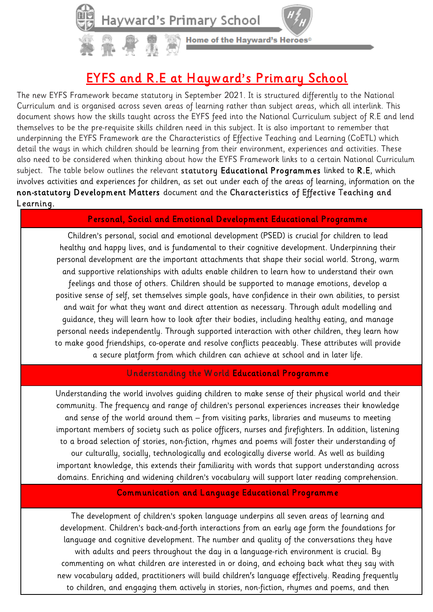## EYFS and R.E at Hayward's Primary School

Home of the Hayward's Heroes®

The new EYFS Framework became statutory in September 2021. It is structured differently to the National Curriculum and is organised across seven areas of learning rather than subject areas, which all interlink. This document shows how the skills taught across the EYFS feed into the National Curriculum subject of R.E and lend themselves to be the pre-requisite skills children need in this subject. It is also important to remember that underpinning the EYFS Framework are the Characteristics of Effective Teaching and Learning (CoETL) which detail the ways in which children should be learning from their environment, experiences and activities. These also need to be considered when thinking about how the EYFS Framework links to a certain National Curriculum subject. The table below outlines the relevant statutory Educational Programmes linked to R.E, which involves activities and experiences for children, as set out under each of the areas of learning, information on the non-statutory Development Matters document and the Characteristics of Effective Teaching and Learning.

## Personal, Social and Emotional Development Educational Programme

Children's personal, social and emotional development (PSED) is crucial for children to lead healthy and happy lives, and is fundamental to their cognitive development. Underpinning their personal development are the important attachments that shape their social world. Strong, warm and supportive relationships with adults enable children to learn how to understand their own feelings and those of others. Children should be supported to manage emotions, develop a positive sense of self, set themselves simple goals, have confidence in their own abilities, to persist and wait for what they want and direct attention as necessary. Through adult modelling and guidance, they will learn how to look after their bodies, including healthy eating, and manage personal needs independently. Through supported interaction with other children, they learn how to make good friendships, co-operate and resolve conflicts peaceably. These attributes will provide a secure platform from which children can achieve at school and in later life.

## Understanding the W orld Educational Programme

Understanding the world involves guiding children to make sense of their physical world and their community. The frequency and range of children's personal experiences increases their knowledge and sense of the world around them – from visiting parks, libraries and museums to meeting important members of society such as police officers, nurses and firefighters. In addition, listening to a broad selection of stories, non-fiction, rhymes and poems will foster their understanding of our culturally, socially, technologically and ecologically diverse world. As well as building important knowledge, this extends their familiarity with words that support understanding across domains. Enriching and widening children's vocabulary will support later reading comprehension.

## Communication and Language Educational Programme

The development of children's spoken language underpins all seven areas of learning and development. Children's back-and-forth interactions from an early age form the foundations for language and cognitive development. The number and quality of the conversations they have with adults and peers throughout the day in a language-rich environment is crucial. By commenting on what children are interested in or doing, and echoing back what they say with new vocabulary added, practitioners will build children's language effectively. Reading frequently to children, and engaging them actively in stories, non-fiction, rhymes and poems, and then